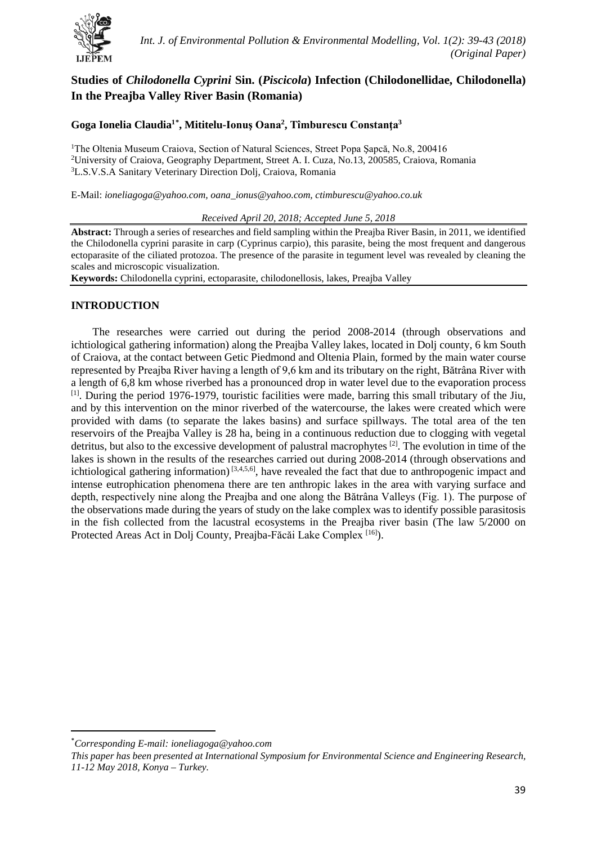

# **Studies of** *Chilodonella Cyprini* **Sin. (***Piscicola***) Infection (Chilodonellidae, Chilodonella) In the Preajba Valley River Basin (Romania)**

## **Goga Ionelia Claudia1[\\*](#page-0-0) , Mititelu-Ionuş Oana<sup>2</sup> , Tîmburescu Constanţa<sup>3</sup>**

<sup>1</sup>The Oltenia Museum Craiova, Section of Natural Sciences, Street Popa Șapcă, No.8, 200416 2 University of Craiova, Geography Department, Street A. I. Cuza, No.13, 200585, Craiova, Romania 3 L.S.V.S.A Sanitary Veterinary Direction Dolj, Craiova, Romania

E-Mail: *[ioneliagoga@yahoo.com,](mailto:zcozturk@selcuk.edu.tr) oana\_ionus@yahoo.com, [ctimburescu@yahoo.co.uk](mailto:%20ctimburescu@yahoo.co.uk)* 

*Received April 20, 2018; Accepted June 5, 2018*

**Abstract:** Through a series of researches and field sampling within the Preajba River Basin, in 2011, we identified the Chilodonella cyprini parasite in carp (Cyprinus carpio), this parasite, being the most frequent and dangerous ectoparasite of the ciliated protozoa. The presence of the parasite in tegument level was revealed by cleaning the scales and microscopic visualization.

**Keywords:** Chilodonella cyprini, ectoparasite, chilodonellosis, lakes, Preajba Valley

## **INTRODUCTION**

The researches were carried out during the period 2008-2014 (through observations and ichtiological gathering information) along the Preajba Valley lakes, located in Dolj county, 6 km South of Craiova, at the contact between Getic Piedmond and Oltenia Plain, formed by the main water course represented by Preajba River having a length of 9,6 km and its tributary on the right, Bătrâna River with a length of 6,8 km whose riverbed has a pronounced drop in water level due to the evaporation process [1]. During the period 1976-1979, touristic facilities were made, barring this small tributary of the Jiu, and by this intervention on the minor riverbed of the watercourse, the lakes were created which were provided with dams (to separate the lakes basins) and surface spillways. The total area of the ten reservoirs of the Preajba Valley is 28 ha, being in a continuous reduction due to clogging with vegetal detritus, but also to the excessive development of palustral macrophytes <sup>[2]</sup>. The evolution in time of the lakes is shown in the results of the researches carried out during 2008-2014 (through observations and ichtiological gathering information)<sup>[3,4,5,6]</sup>, have revealed the fact that due to anthropogenic impact and intense eutrophication phenomena there are ten anthropic lakes in the area with varying surface and depth, respectively nine along the Preajba and one along the Bătrâna Valleys (Fig. 1). The purpose of the observations made during the years of study on the lake complex was to identify possible parasitosis in the fish collected from the lacustral ecosystems in the Preajba river basin (The law 5/2000 on Protected Areas Act in Dolj County, Preajba-Făcăi Lake Complex [16]).

<span id="page-0-0"></span> <sup>\*</sup> *Corresponding E-mail[: ioneliagoga@yahoo.com](mailto:zcozturk@selcuk.edu.tr)*

*This paper has been presented at International Symposium for Environmental Science and Engineering Research, 11-12 May 2018, Konya – Turkey.*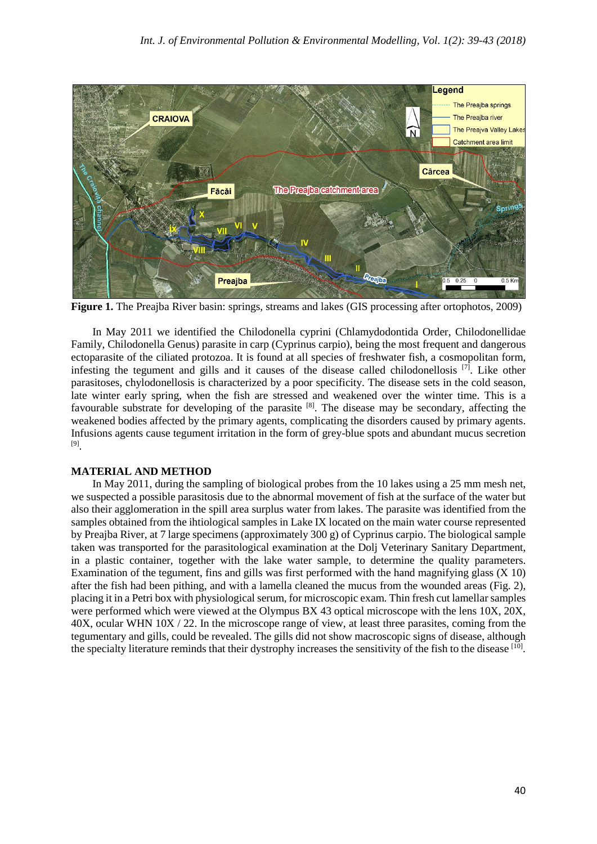

**Figure 1.** The Preajba River basin: springs, streams and lakes (GIS processing after ortophotos, 2009)

In May 2011 we identified the Chilodonella cyprini (Chlamydodontida Order, Chilodonellidae Family, Chilodonella Genus) parasite in carp (Cyprinus carpio), being the most frequent and dangerous ectoparasite of the ciliated protozoa. It is found at all species of freshwater fish, a cosmopolitan form, infesting the tegument and gills and it causes of the disease called chilodonellosis [7] . Like other parasitoses, chylodonellosis is characterized by a poor specificity. The disease sets in the cold season, late winter early spring, when the fish are stressed and weakened over the winter time. This is a favourable substrate for developing of the parasite [8]. The disease may be secondary, affecting the weakened bodies affected by the primary agents, complicating the disorders caused by primary agents. Infusions agents cause tegument irritation in the form of grey-blue spots and abundant mucus secretion [9] .

#### **MATERIAL AND METHOD**

In May 2011, during the sampling of biological probes from the 10 lakes using a 25 mm mesh net, we suspected a possible parasitosis due to the abnormal movement of fish at the surface of the water but also their agglomeration in the spill area surplus water from lakes. The parasite was identified from the samples obtained from the ihtiological samples in Lake IX located on the main water course represented by Preajba River, at 7 large specimens (approximately 300 g) of Cyprinus carpio. The biological sample taken was transported for the parasitological examination at the Dolj Veterinary Sanitary Department, in a plastic container, together with the lake water sample, to determine the quality parameters. Examination of the tegument, fins and gills was first performed with the hand magnifying glass (X 10) after the fish had been pithing, and with a lamella cleaned the mucus from the wounded areas (Fig. 2), placing it in a Petri box with physiological serum, for microscopic exam. Thin fresh cut lamellar samples were performed which were viewed at the Olympus BX 43 optical microscope with the lens 10X, 20X, 40X, ocular WHN 10X / 22. In the microscope range of view, at least three parasites, coming from the tegumentary and gills, could be revealed. The gills did not show macroscopic signs of disease, although the specialty literature reminds that their dystrophy increases the sensitivity of the fish to the disease  $[10]$ .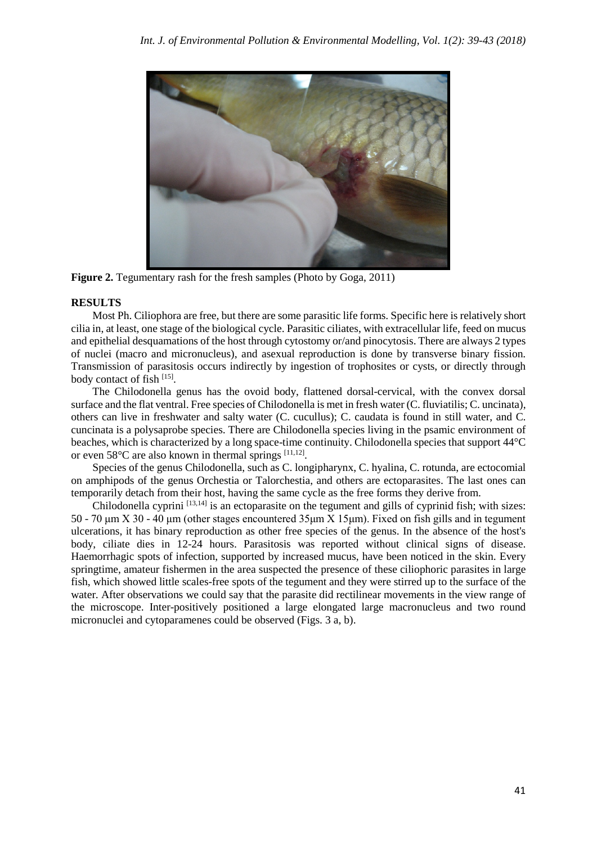

**Figure 2.** Tegumentary rash for the fresh samples (Photo by Goga, 2011)

## **RESULTS**

Most Ph. Ciliophora are free, but there are some parasitic life forms. Specific here is relatively short cilia in, at least, one stage of the biological cycle. Parasitic ciliates, with extracellular life, feed on mucus and epithelial desquamations of the host through cytostomy or/and pinocytosis. There are always 2 types of nuclei (macro and micronucleus), and asexual reproduction is done by transverse binary fission. Transmission of parasitosis occurs indirectly by ingestion of trophosites or cysts, or directly through body contact of fish [15].

The Chilodonella genus has the ovoid body, flattened dorsal-cervical, with the convex dorsal surface and the flat ventral. Free species of Chilodonella is met in fresh water (C. fluviatilis; C. uncinata), others can live in freshwater and salty water (C. cucullus); C. caudata is found in still water, and C. cuncinata is a polysaprobe species. There are Chilodonella species living in the psamic environment of beaches, which is characterized by a long space-time continuity. Chilodonella species that support 44°C or even 58°C are also known in thermal springs [11,12].

Species of the genus Chilodonella, such as C. longipharynx, C. hyalina, C. rotunda, are ectocomial on amphipods of the genus Orchestia or Talorchestia, and others are ectoparasites. The last ones can temporarily detach from their host, having the same cycle as the free forms they derive from.

Chilodonella cyprini  $[13,14]$  is an ectoparasite on the tegument and gills of cyprinid fish; with sizes: 50 - 70 μm X 30 - 40 μm (other stages encountered 35μm X 15μm). Fixed on fish gills and in tegument ulcerations, it has binary reproduction as other free species of the genus. In the absence of the host's body, ciliate dies in 12-24 hours. Parasitosis was reported without clinical signs of disease. Haemorrhagic spots of infection, supported by increased mucus, have been noticed in the skin. Every springtime, amateur fishermen in the area suspected the presence of these ciliophoric parasites in large fish, which showed little scales-free spots of the tegument and they were stirred up to the surface of the water. After observations we could say that the parasite did rectilinear movements in the view range of the microscope. Inter-positively positioned a large elongated large macronucleus and two round micronuclei and cytoparamenes could be observed (Figs. 3 a, b).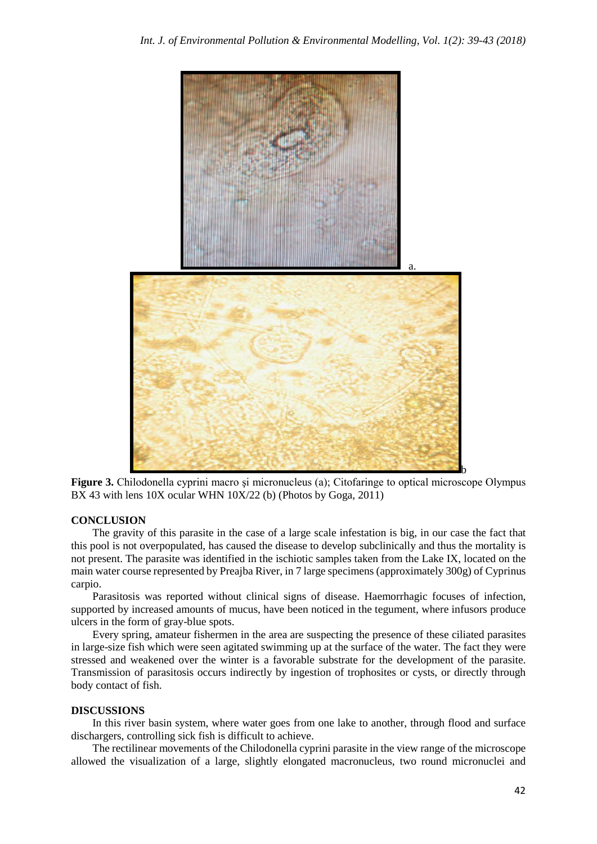

**Figure 3.** Chilodonella cyprini macro şi micronucleus (a); Citofaringe to optical microscope Olympus BX 43 with lens 10X ocular WHN 10X/22 (b) (Photos by Goga, 2011)

#### **CONCLUSION**

The gravity of this parasite in the case of a large scale infestation is big, in our case the fact that this pool is not overpopulated, has caused the disease to develop subclinically and thus the mortality is not present. The parasite was identified in the ischiotic samples taken from the Lake IX, located on the main water course represented by Preajba River, in 7 large specimens (approximately 300g) of Cyprinus carpio.

Parasitosis was reported without clinical signs of disease. Haemorrhagic focuses of infection, supported by increased amounts of mucus, have been noticed in the tegument, where infusors produce ulcers in the form of gray-blue spots.

Every spring, amateur fishermen in the area are suspecting the presence of these ciliated parasites in large-size fish which were seen agitated swimming up at the surface of the water. The fact they were stressed and weakened over the winter is a favorable substrate for the development of the parasite. Transmission of parasitosis occurs indirectly by ingestion of trophosites or cysts, or directly through body contact of fish.

#### **DISCUSSIONS**

In this river basin system, where water goes from one lake to another, through flood and surface dischargers, controlling sick fish is difficult to achieve.

The rectilinear movements of the Chilodonella cyprini parasite in the view range of the microscope allowed the visualization of a large, slightly elongated macronucleus, two round micronuclei and